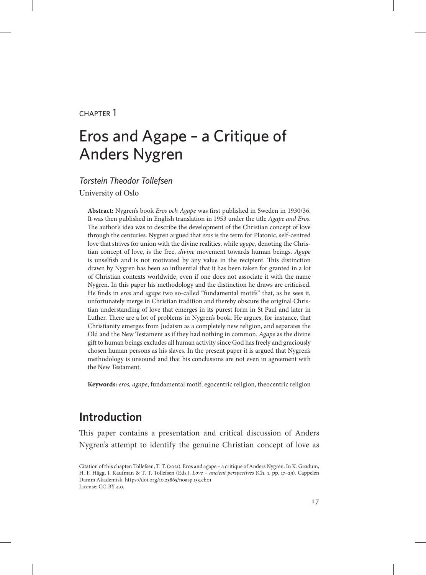#### chapter 1

# Eros and Agape – a Critique of Anders Nygren

*Torstein Theodor Tollefsen* University of Oslo

**Abstract:** Nygren's book *Eros och Agape* was first published in Sweden in 1930/36. It was then published in English translation in 1953 under the title *Agape and Eros*. The author's idea was to describe the development of the Christian concept of love through the centuries. Nygren argued that *eros* is the term for Platonic, self-centred love that strives for union with the divine realities, while *agape*, denoting the Christian concept of love, is the free, *divine* movement towards human beings. *Agape* is unselfish and is not motivated by any value in the recipient. This distinction drawn by Nygren has been so influential that it has been taken for granted in a lot of Christian contexts worldwide, even if one does not associate it with the name Nygren. In this paper his methodology and the distinction he draws are criticised. He finds in *eros* and *agape* two so-called "fundamental motifs" that, as he sees it, unfortunately merge in Christian tradition and thereby obscure the original Christian understanding of love that emerges in its purest form in St Paul and later in Luther. There are a lot of problems in Nygren's book. He argues, for instance, that Christianity emerges from Judaism as a completely new religion, and separates the Old and the New Testament as if they had nothing in common. *Agape* as the divine gift to human beings excludes all human activity since God has freely and graciously chosen human persons as his slaves. In the present paper it is argued that Nygren's methodology is unsound and that his conclusions are not even in agreement with the New Testament.

**Keywords:** *eros, agape*, fundamental motif, egocentric religion, theocentric religion

#### **Introduction**

This paper contains a presentation and critical discussion of Anders Nygren's attempt to identify the genuine Christian concept of love as

Citation of this chapter: Tollefsen, T. T. (2021). Eros and agape – a critique of Anders Nygren. In K. Grødum, H. F. Hägg, J. Kaufman & T. T. Tollefsen (Eds.), *Love – ancient perspectives* (Ch. 1, pp. 17–29). Cappelen Damm Akademisk. https://doi.org/10.23865/noasp.133.ch01 License: CC-BY 4.0.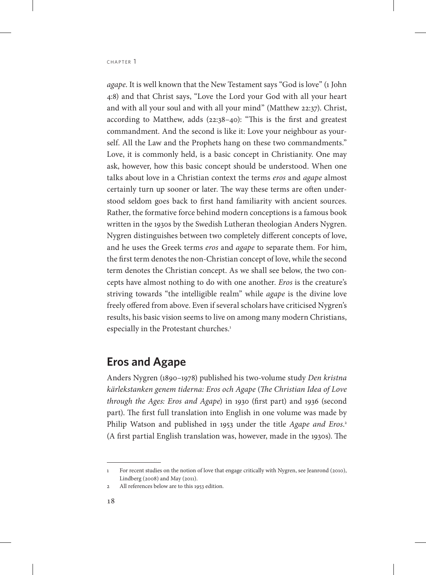*agape*. It is well known that the New Testament says "God is love" (1 John 4:8) and that Christ says, "Love the Lord your God with all your heart and with all your soul and with all your mind" (Matthew 22:37). Christ, according to Matthew, adds (22:38–40): "This is the first and greatest commandment. And the second is like it: Love your neighbour as yourself. All the Law and the Prophets hang on these two commandments." Love, it is commonly held, is a basic concept in Christianity. One may ask, however, how this basic concept should be understood. When one talks about love in a Christian context the terms *eros* and *agape* almost certainly turn up sooner or later. The way these terms are often understood seldom goes back to first hand familiarity with ancient sources. Rather, the formative force behind modern conceptions is a famous book written in the 1930s by the Swedish Lutheran theologian Anders Nygren. Nygren distinguishes between two completely different concepts of love, and he uses the Greek terms *eros* and *agape* to separate them. For him, the first term denotes the non-Christian concept of love, while the second term denotes the Christian concept. As we shall see below, the two concepts have almost nothing to do with one another. *Eros* is the creature's striving towards "the intelligible realm" while *agape* is the divine love freely offered from above. Even if several scholars have criticised Nygren's results, his basic vision seems to live on among many modern Christians, especially in the Protestant churches.<sup>1</sup>

### **Eros and Agape**

Anders Nygren (1890–1978) published his two-volume study *Den kristna kärlekstanken genem tiderna: Eros och Agape* (*The Christian Idea of Love through the Ages: Eros and Agape*) in 1930 (first part) and 1936 (second part). The first full translation into English in one volume was made by Philip Watson and published in 1953 under the title *Agape and Eros*. 2 (A first partial English translation was, however, made in the 1930s). The

<sup>1</sup> For recent studies on the notion of love that engage critically with Nygren, see Jeanrond (2010), Lindberg (2008) and May (2011).

<sup>2</sup> All references below are to this 1953 edition.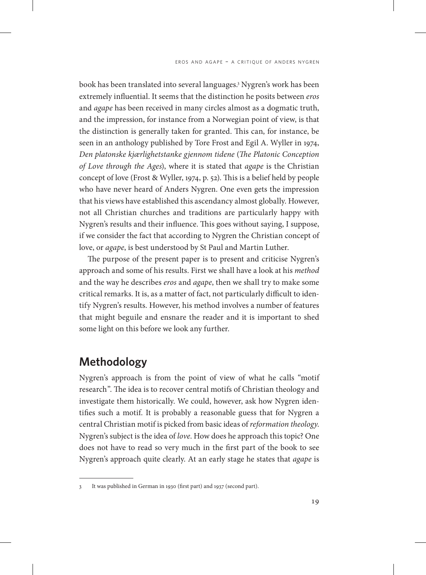book has been translated into several languages.3 Nygren's work has been extremely influential. It seems that the distinction he posits between *eros* and *agape* has been received in many circles almost as a dogmatic truth, and the impression, for instance from a Norwegian point of view, is that the distinction is generally taken for granted. This can, for instance, be seen in an anthology published by Tore Frost and Egil A. Wyller in 1974, *Den platonske kjærlighetstanke gjennom tidene* (*The Platonic Conception of Love through the Ages*), where it is stated that *agape* is the Christian concept of love (Frost & Wyller, 1974, p. 52). This is a belief held by people who have never heard of Anders Nygren. One even gets the impression that his views have established this ascendancy almost globally. However, not all Christian churches and traditions are particularly happy with Nygren's results and their influence. This goes without saying, I suppose, if we consider the fact that according to Nygren the Christian concept of love, or *agape*, is best understood by St Paul and Martin Luther.

The purpose of the present paper is to present and criticise Nygren's approach and some of his results. First we shall have a look at his *method* and the way he describes *eros* and *agape*, then we shall try to make some critical remarks. It is, as a matter of fact, not particularly difficult to identify Nygren's results. However, his method involves a number of features that might beguile and ensnare the reader and it is important to shed some light on this before we look any further.

## **Methodology**

Nygren's approach is from the point of view of what he calls "motif research". The idea is to recover central motifs of Christian theology and investigate them historically. We could, however, ask how Nygren identifies such a motif. It is probably a reasonable guess that for Nygren a central Christian motif is picked from basic ideas of *reformation theology*. Nygren's subject is the idea of *love*. How does he approach this topic? One does not have to read so very much in the first part of the book to see Nygren's approach quite clearly. At an early stage he states that *agape* is

<sup>3</sup> It was published in German in 1930 (first part) and 1937 (second part).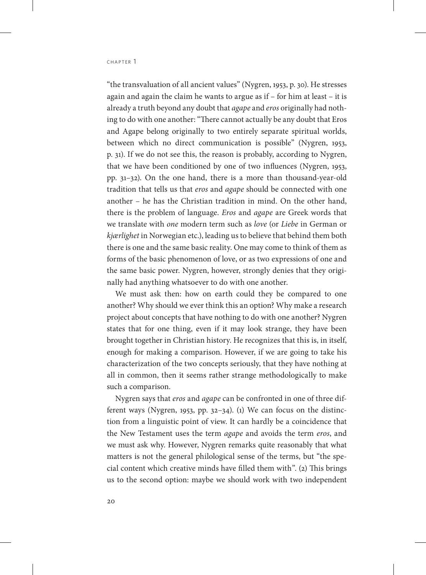"the transvaluation of all ancient values" (Nygren, 1953, p. 30). He stresses again and again the claim he wants to argue as if – for him at least – it is already a truth beyond any doubt that *agape* and *eros* originally had nothing to do with one another: "There cannot actually be any doubt that Eros and Agape belong originally to two entirely separate spiritual worlds, between which no direct communication is possible" (Nygren, 1953, p. 31). If we do not see this, the reason is probably, according to Nygren, that we have been conditioned by one of two influences (Nygren, 1953, pp. 31–32). On the one hand, there is a more than thousand-year-old tradition that tells us that *eros* and *agape* should be connected with one another – he has the Christian tradition in mind. On the other hand, there is the problem of language. *Eros* and *agape* are Greek words that we translate with *one* modern term such as *love* (or *Liebe* in German or *kjærlighet* in Norwegian etc.), leading us to believe that behind them both there is one and the same basic reality. One may come to think of them as forms of the basic phenomenon of love, or as two expressions of one and the same basic power. Nygren, however, strongly denies that they originally had anything whatsoever to do with one another.

We must ask then: how on earth could they be compared to one another? Why should we ever think this an option? Why make a research project about concepts that have nothing to do with one another? Nygren states that for one thing, even if it may look strange, they have been brought together in Christian history. He recognizes that this is, in itself, enough for making a comparison. However, if we are going to take his characterization of the two concepts seriously, that they have nothing at all in common, then it seems rather strange methodologically to make such a comparison.

Nygren says that *eros* and *agape* can be confronted in one of three different ways (Nygren, 1953, pp. 32–34). (1) We can focus on the distinction from a linguistic point of view. It can hardly be a coincidence that the New Testament uses the term *agape* and avoids the term *eros*, and we must ask why. However, Nygren remarks quite reasonably that what matters is not the general philological sense of the terms, but "the special content which creative minds have filled them with". (2) This brings us to the second option: maybe we should work with two independent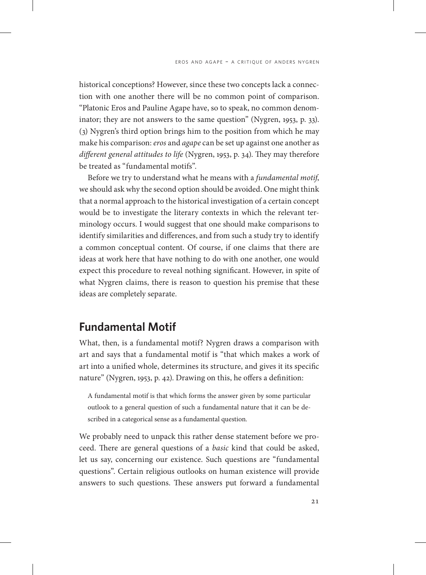historical conceptions? However, since these two concepts lack a connection with one another there will be no common point of comparison. "Platonic Eros and Pauline Agape have, so to speak, no common denominator; they are not answers to the same question" (Nygren, 1953, p. 33). (3) Nygren's third option brings him to the position from which he may make his comparison: *eros* and *agape* can be set up against one another as *different general attitudes to life* (Nygren, 1953, p. 34). They may therefore be treated as "fundamental motifs".

Before we try to understand what he means with a *fundamental motif*, we should ask why the second option should be avoided. One might think that a normal approach to the historical investigation of a certain concept would be to investigate the literary contexts in which the relevant terminology occurs. I would suggest that one should make comparisons to identify similarities and differences, and from such a study try to identify a common conceptual content. Of course, if one claims that there are ideas at work here that have nothing to do with one another, one would expect this procedure to reveal nothing significant. However, in spite of what Nygren claims, there is reason to question his premise that these ideas are completely separate.

### **Fundamental Motif**

What, then, is a fundamental motif? Nygren draws a comparison with art and says that a fundamental motif is "that which makes a work of art into a unified whole, determines its structure, and gives it its specific nature" (Nygren, 1953, p. 42). Drawing on this, he offers a definition:

A fundamental motif is that which forms the answer given by some particular outlook to a general question of such a fundamental nature that it can be described in a categorical sense as a fundamental question*.*

We probably need to unpack this rather dense statement before we proceed. There are general questions of a *basic* kind that could be asked, let us say, concerning our existence. Such questions are "fundamental questions". Certain religious outlooks on human existence will provide answers to such questions. These answers put forward a fundamental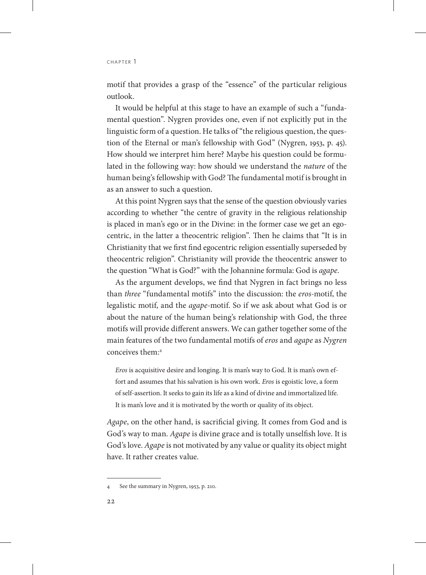CHAPTER 1

motif that provides a grasp of the "essence" of the particular religious outlook.

It would be helpful at this stage to have an example of such a "fundamental question". Nygren provides one, even if not explicitly put in the linguistic form of a question. He talks of "the religious question, the question of the Eternal or man's fellowship with God" (Nygren, 1953, p. 45). How should we interpret him here? Maybe his question could be formulated in the following way: how should we understand the *nature* of the human being's fellowship with God? The fundamental motif is brought in as an answer to such a question.

At this point Nygren says that the sense of the question obviously varies according to whether "the centre of gravity in the religious relationship is placed in man's ego or in the Divine: in the former case we get an egocentric, in the latter a theocentric religion". Then he claims that "It is in Christianity that we first find egocentric religion essentially superseded by theocentric religion". Christianity will provide the theocentric answer to the question "What is God?" with the Johannine formula: God is *agape*.

As the argument develops, we find that Nygren in fact brings no less than *three* "fundamental motifs" into the discussion: the *eros*-motif, the legalistic motif, and the *agape*-motif. So if we ask about what God is or about the nature of the human being's relationship with God, the three motifs will provide different answers. We can gather together some of the main features of the two fundamental motifs of *eros* and *agape* as *Nygren* conceives them:4

*Eros* is acquisitive desire and longing. It is man's way to God. It is man's own effort and assumes that his salvation is his own work. *Eros* is egoistic love, a form of self-assertion. It seeks to gain its life as a kind of divine and immortalized life. It is man's love and it is motivated by the worth or quality of its object.

*Agape*, on the other hand, is sacrificial giving. It comes from God and is God's way to man. *Agape* is divine grace and is totally unselfish love. It is God's love. *Agape* is not motivated by any value or quality its object might have. It rather creates value.

<sup>4</sup> See the summary in Nygren, 1953, p. 210.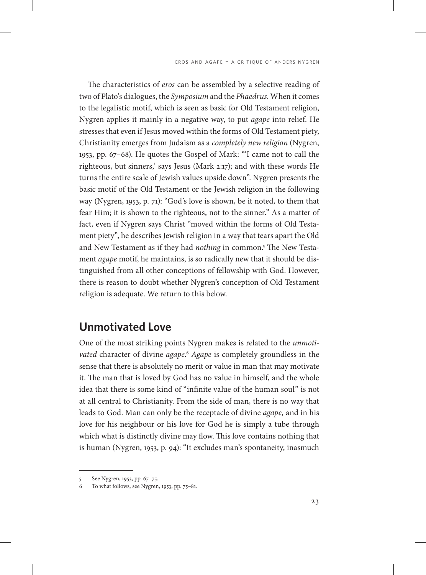The characteristics of *eros* can be assembled by a selective reading of two of Plato's dialogues, the *Symposium* and the *Phaedrus*. When it comes to the legalistic motif, which is seen as basic for Old Testament religion, Nygren applies it mainly in a negative way, to put *agape* into relief. He stresses that even if Jesus moved within the forms of Old Testament piety, Christianity emerges from Judaism as a *completely new religion* (Nygren, 1953, pp. 67–68). He quotes the Gospel of Mark: "'I came not to call the righteous, but sinners,' says Jesus (Mark 2:17); and with these words He turns the entire scale of Jewish values upside down". Nygren presents the basic motif of the Old Testament or the Jewish religion in the following way (Nygren, 1953, p. 71): "God's love is shown, be it noted, to them that fear Him; it is shown to the righteous, not to the sinner." As a matter of fact, even if Nygren says Christ "moved within the forms of Old Testament piety", he describes Jewish religion in a way that tears apart the Old and New Testament as if they had *nothing* in common.<sup>5</sup> The New Testament *agape* motif, he maintains, is so radically new that it should be distinguished from all other conceptions of fellowship with God. However, there is reason to doubt whether Nygren's conception of Old Testament religion is adequate. We return to this below.

### **Unmotivated Love**

One of the most striking points Nygren makes is related to the *unmotivated* character of divine *agape*. <sup>6</sup> *Agape* is completely groundless in the sense that there is absolutely no merit or value in man that may motivate it. The man that is loved by God has no value in himself, and the whole idea that there is some kind of "infinite value of the human soul" is not at all central to Christianity. From the side of man, there is no way that leads to God. Man can only be the receptacle of divine *agape,* and in his love for his neighbour or his love for God he is simply a tube through which what is distinctly divine may flow. This love contains nothing that is human (Nygren, 1953, p. 94): "It excludes man's spontaneity, inasmuch

<sup>5</sup> See Nygren, 1953, pp. 67–75.

To what follows, see Nygren, 1953, pp. 75-81.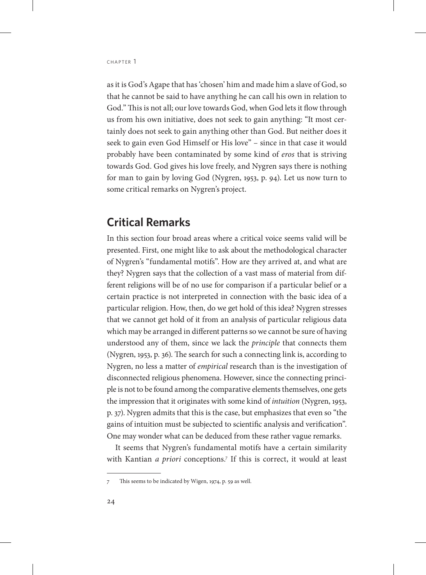as it is God's Agape that has 'chosen' him and made him a slave of God, so that he cannot be said to have anything he can call his own in relation to God." This is not all; our love towards God, when God lets it flow through us from his own initiative, does not seek to gain anything: "It most certainly does not seek to gain anything other than God. But neither does it seek to gain even God Himself or His love" – since in that case it would probably have been contaminated by some kind of *eros* that is striving towards God. God gives his love freely, and Nygren says there is nothing for man to gain by loving God (Nygren, 1953, p. 94). Let us now turn to some critical remarks on Nygren's project.

#### **Critical Remarks**

In this section four broad areas where a critical voice seems valid will be presented. First, one might like to ask about the methodological character of Nygren's "fundamental motifs". How are they arrived at, and what are they? Nygren says that the collection of a vast mass of material from different religions will be of no use for comparison if a particular belief or a certain practice is not interpreted in connection with the basic idea of a particular religion. How, then, do we get hold of this idea? Nygren stresses that we cannot get hold of it from an analysis of particular religious data which may be arranged in different patterns so we cannot be sure of having understood any of them, since we lack the *principle* that connects them (Nygren, 1953, p. 36). The search for such a connecting link is, according to Nygren, no less a matter of *empirical* research than is the investigation of disconnected religious phenomena. However, since the connecting principle is not to be found among the comparative elements themselves, one gets the impression that it originates with some kind of *intuition* (Nygren, 1953, p. 37). Nygren admits that this is the case, but emphasizes that even so "the gains of intuition must be subjected to scientific analysis and verification". One may wonder what can be deduced from these rather vague remarks.

It seems that Nygren's fundamental motifs have a certain similarity with Kantian *a priori* conceptions.<sup>7</sup> If this is correct, it would at least

This seems to be indicated by Wigen, 1974, p. 59 as well.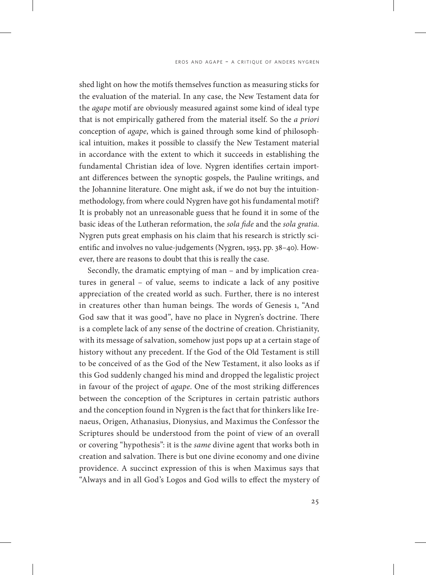shed light on how the motifs themselves function as measuring sticks for the evaluation of the material. In any case, the New Testament data for the *agape* motif are obviously measured against some kind of ideal type that is not empirically gathered from the material itself. So the *a priori* conception of *agape*, which is gained through some kind of philosophical intuition, makes it possible to classify the New Testament material in accordance with the extent to which it succeeds in establishing the fundamental Christian idea of love. Nygren identifies certain important differences between the synoptic gospels, the Pauline writings, and the Johannine literature. One might ask, if we do not buy the intuitionmethodology, from where could Nygren have got his fundamental motif? It is probably not an unreasonable guess that he found it in some of the basic ideas of the Lutheran reformation, the *sola fide* and the *sola gratia*. Nygren puts great emphasis on his claim that his research is strictly scientific and involves no value-judgements (Nygren, 1953, pp. 38–40). However, there are reasons to doubt that this is really the case.

Secondly, the dramatic emptying of man – and by implication creatures in general – of value, seems to indicate a lack of any positive appreciation of the created world as such. Further, there is no interest in creatures other than human beings. The words of Genesis 1, "And God saw that it was good", have no place in Nygren's doctrine. There is a complete lack of any sense of the doctrine of creation. Christianity, with its message of salvation, somehow just pops up at a certain stage of history without any precedent. If the God of the Old Testament is still to be conceived of as the God of the New Testament, it also looks as if this God suddenly changed his mind and dropped the legalistic project in favour of the project of *agape*. One of the most striking differences between the conception of the Scriptures in certain patristic authors and the conception found in Nygren is the fact that for thinkers like Irenaeus, Origen, Athanasius, Dionysius, and Maximus the Confessor the Scriptures should be understood from the point of view of an overall or covering "hypothesis": it is the *same* divine agent that works both in creation and salvation. There is but one divine economy and one divine providence. A succinct expression of this is when Maximus says that "Always and in all God's Logos and God wills to effect the mystery of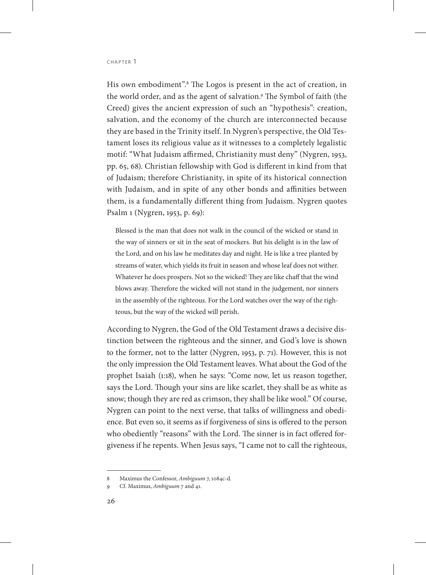#### CHAPTER 1

His own embodiment".8 The Logos is present in the act of creation, in the world order, and as the agent of salvation.9 The Symbol of faith (the Creed) gives the ancient expression of such an "hypothesis": creation, salvation, and the economy of the church are interconnected because they are based in the Trinity itself. In Nygren's perspective, the Old Testament loses its religious value as it witnesses to a completely legalistic motif: "What Judaism affirmed, Christianity must deny" (Nygren, 1953, pp. 65, 68). Christian fellowship with God is different in kind from that of Judaism; therefore Christianity, in spite of its historical connection with Judaism, and in spite of any other bonds and affinities between them, is a fundamentally different thing from Judaism. Nygren quotes Psalm 1 (Nygren, 1953, p. 69):

Blessed is the man that does not walk in the council of the wicked or stand in the way of sinners or sit in the seat of mockers. But his delight is in the law of the Lord, and on his law he meditates day and night. He is like a tree planted by streams of water, which yields its fruit in season and whose leaf does not wither. Whatever he does prospers. Not so the wicked! They are like chaff that the wind blows away. Therefore the wicked will not stand in the judgement, nor sinners in the assembly of the righteous. For the Lord watches over the way of the righteous, but the way of the wicked will perish.

According to Nygren, the God of the Old Testament draws a decisive distinction between the righteous and the sinner, and God's love is shown to the former, not to the latter (Nygren, 1953, p. 71). However, this is not the only impression the Old Testament leaves. What about the God of the prophet Isaiah (1:18), when he says: "Come now, let us reason together, says the Lord. Though your sins are like scarlet, they shall be as white as snow; though they are red as crimson, they shall be like wool." Of course, Nygren can point to the next verse, that talks of willingness and obedience. But even so, it seems as if forgiveness of sins is offered to the person who obediently "reasons" with the Lord. The sinner is in fact offered forgiveness if he repents. When Jesus says, "I came not to call the righteous,

<sup>8</sup> Maximus the Confessor, *Ambiguum* 7, 1084c-d.

<sup>9</sup> Cf. Maximus, *Ambiguum* 7 and 41.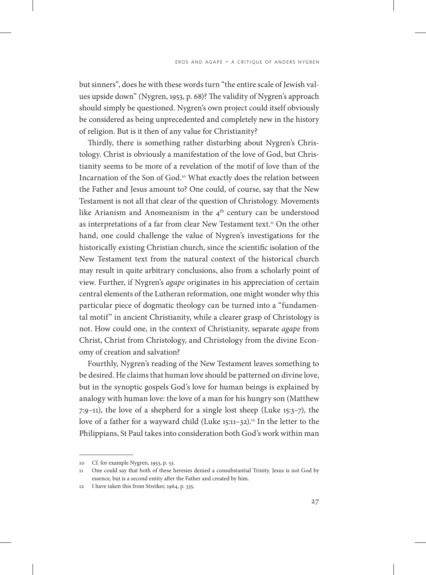but sinners", does he with these words turn "the entire scale of Jewish values upside down" (Nygren, 1953, p. 68)? The validity of Nygren's approach should simply be questioned. Nygren's own project could itself obviously be considered as being unprecedented and completely new in the history of religion. But is it then of any value for Christianity?

Thirdly, there is something rather disturbing about Nygren's Christology. Christ is obviously a manifestation of the love of God, but Christianity seems to be more of a revelation of the motif of love than of the Incarnation of the Son of God.10 What exactly does the relation between the Father and Jesus amount to? One could, of course, say that the New Testament is not all that clear of the question of Christology. Movements like Arianism and Anomeanism in the 4<sup>th</sup> century can be understood as interpretations of a far from clear New Testament text.<sup>11</sup> On the other hand, one could challenge the value of Nygren's investigations for the historically existing Christian church, since the scientific isolation of the New Testament text from the natural context of the historical church may result in quite arbitrary conclusions, also from a scholarly point of view. Further, if Nygren's *agape* originates in his appreciation of certain central elements of the Lutheran reformation, one might wonder why this particular piece of dogmatic theology can be turned into a "fundamental motif" in ancient Christianity, while a clearer grasp of Christology is not. How could one, in the context of Christianity, separate *agape* from Christ, Christ from Christology, and Christology from the divine Economy of creation and salvation?

Fourthly, Nygren's reading of the New Testament leaves something to be desired. He claims that human love should be patterned on divine love, but in the synoptic gospels God's love for human beings is explained by analogy with human love: the love of a man for his hungry son (Matthew 7:9–11), the love of a shepherd for a single lost sheep (Luke 15:3–7), the love of a father for a wayward child (Luke 15:11-32).<sup>12</sup> In the letter to the Philippians, St Paul takes into consideration both God's work within man

<sup>10</sup> Cf. for example Nygren, 1953, p. 53.

One could say that both of these heresies denied a consubstantial Trinity. Jesus is not God by essence, but is a second entity after the Father and created by him.

<sup>12</sup> I have taken this from Streiker, 1964, p. 335.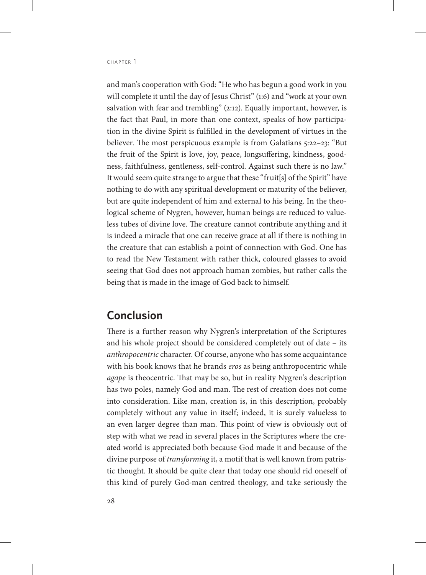and man's cooperation with God: "He who has begun a good work in you will complete it until the day of Jesus Christ" (1:6) and "work at your own salvation with fear and trembling" (2:12). Equally important, however, is the fact that Paul, in more than one context, speaks of how participation in the divine Spirit is fulfilled in the development of virtues in the believer. The most perspicuous example is from Galatians 5:22–23: "But the fruit of the Spirit is love, joy, peace, longsuffering, kindness, goodness, faithfulness, gentleness, self-control. Against such there is no law." It would seem quite strange to argue that these "fruit[s] of the Spirit" have nothing to do with any spiritual development or maturity of the believer, but are quite independent of him and external to his being. In the theological scheme of Nygren, however, human beings are reduced to valueless tubes of divine love. The creature cannot contribute anything and it is indeed a miracle that one can receive grace at all if there is nothing in the creature that can establish a point of connection with God. One has to read the New Testament with rather thick, coloured glasses to avoid seeing that God does not approach human zombies, but rather calls the being that is made in the image of God back to himself.

#### **Conclusion**

There is a further reason why Nygren's interpretation of the Scriptures and his whole project should be considered completely out of date – its *anthropocentric* character. Of course, anyone who has some acquaintance with his book knows that he brands *eros* as being anthropocentric while *agape* is theocentric. That may be so, but in reality Nygren's description has two poles, namely God and man. The rest of creation does not come into consideration. Like man, creation is, in this description, probably completely without any value in itself; indeed, it is surely valueless to an even larger degree than man. This point of view is obviously out of step with what we read in several places in the Scriptures where the created world is appreciated both because God made it and because of the divine purpose of *transforming* it, a motif that is well known from patristic thought. It should be quite clear that today one should rid oneself of this kind of purely God-man centred theology, and take seriously the